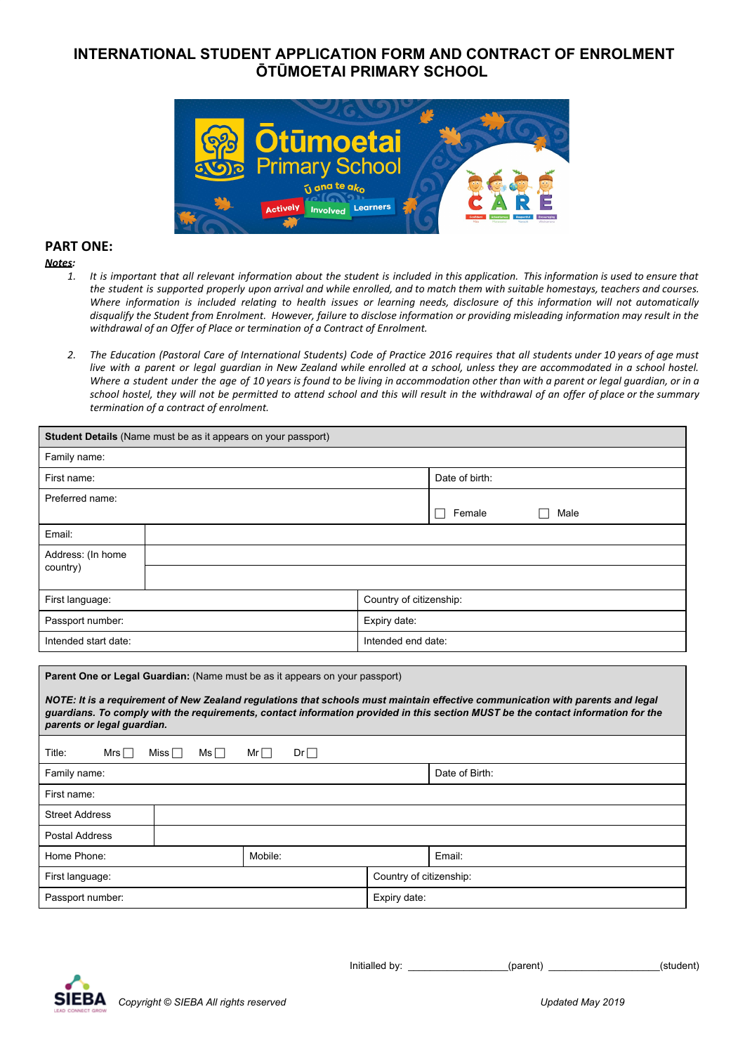# **INTERNATIONAL STUDENT APPLICATION FORM AND CONTRACT OF ENROLMENT ŌTŪMOETAI PRIMARY SCHOOL**



## **PART ONE:**

#### *Notes:*

- 1. It is important that all relevant information about the student is included in this application. This information is used to ensure that the student is supported properly upon arrival and while enrolled, and to match them with suitable homestays, teachers and courses. Where information is included relating to health issues or learning needs, disclosure of this information will not automatically disqualify the Student from Enrolment. However, failure to disclose information or providing misleading information may result in the *withdrawal of an Offer of Place or termination of a Contract of Enrolment.*
- 2. The Education (Pastoral Care of International Students) Code of Practice 2016 requires that all students under 10 years of age must live with a parent or legal guardian in New Zealand while enrolled at a school, unless they are accommodated in a school hostel. Where a student under the age of 10 years is found to be living in accommodation other than with a parent or legal guardian, or in a school hostel, they will not be permitted to attend school and this will result in the withdrawal of an offer of place or the summary *termination of a contract of enrolment.*

| Student Details (Name must be as it appears on your passport)                                                                                                                                                                                                                                                                                                                   |  |  |                         |                    |  |  |
|---------------------------------------------------------------------------------------------------------------------------------------------------------------------------------------------------------------------------------------------------------------------------------------------------------------------------------------------------------------------------------|--|--|-------------------------|--------------------|--|--|
| Family name:                                                                                                                                                                                                                                                                                                                                                                    |  |  |                         |                    |  |  |
| First name:                                                                                                                                                                                                                                                                                                                                                                     |  |  |                         | Date of birth:     |  |  |
| Preferred name:                                                                                                                                                                                                                                                                                                                                                                 |  |  |                         |                    |  |  |
|                                                                                                                                                                                                                                                                                                                                                                                 |  |  |                         | Female<br>Male     |  |  |
| Email:                                                                                                                                                                                                                                                                                                                                                                          |  |  |                         |                    |  |  |
| Address: (In home<br>country)                                                                                                                                                                                                                                                                                                                                                   |  |  |                         |                    |  |  |
|                                                                                                                                                                                                                                                                                                                                                                                 |  |  |                         |                    |  |  |
| First language:                                                                                                                                                                                                                                                                                                                                                                 |  |  | Country of citizenship: |                    |  |  |
| Passport number:                                                                                                                                                                                                                                                                                                                                                                |  |  | Expiry date:            |                    |  |  |
| Intended start date:                                                                                                                                                                                                                                                                                                                                                            |  |  |                         | Intended end date: |  |  |
|                                                                                                                                                                                                                                                                                                                                                                                 |  |  |                         |                    |  |  |
| Parent One or Legal Guardian: (Name must be as it appears on your passport)<br>NOTE: It is a requirement of New Zealand regulations that schools must maintain effective communication with parents and legal<br>guardians. To comply with the requirements, contact information provided in this section MUST be the contact information for the<br>parents or legal guardian. |  |  |                         |                    |  |  |
| Title:<br>Miss $\square$<br>$Dr \Box$<br>Mrs $\Box$<br>$Ms \Box$<br>$Mr\Box$                                                                                                                                                                                                                                                                                                    |  |  |                         |                    |  |  |
| Family name:                                                                                                                                                                                                                                                                                                                                                                    |  |  |                         | Date of Birth:     |  |  |
| First name:                                                                                                                                                                                                                                                                                                                                                                     |  |  |                         |                    |  |  |
| <b>Street Address</b>                                                                                                                                                                                                                                                                                                                                                           |  |  |                         |                    |  |  |
| <b>Postal Address</b>                                                                                                                                                                                                                                                                                                                                                           |  |  |                         |                    |  |  |
| Home Phone:<br>Mobile:                                                                                                                                                                                                                                                                                                                                                          |  |  | Email:                  |                    |  |  |
| First language:                                                                                                                                                                                                                                                                                                                                                                 |  |  | Country of citizenship: |                    |  |  |
| Passport number:                                                                                                                                                                                                                                                                                                                                                                |  |  | Expiry date:            |                    |  |  |

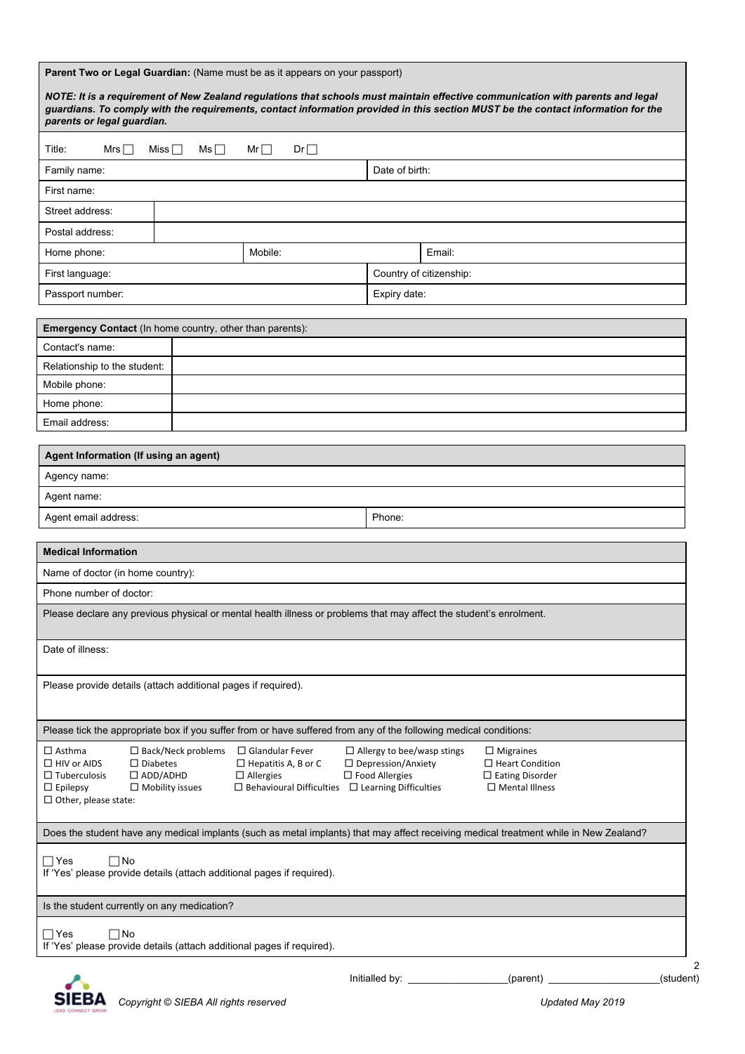|                                                                                                                                                                                                                                                                                                                                                                                                                                                                                                                                                         |                          | Parent Two or Legal Guardian: (Name must be as it appears on your passport)                                       |                  |                         |                                                                                                                                       |           |
|---------------------------------------------------------------------------------------------------------------------------------------------------------------------------------------------------------------------------------------------------------------------------------------------------------------------------------------------------------------------------------------------------------------------------------------------------------------------------------------------------------------------------------------------------------|--------------------------|-------------------------------------------------------------------------------------------------------------------|------------------|-------------------------|---------------------------------------------------------------------------------------------------------------------------------------|-----------|
| NOTE: It is a requirement of New Zealand regulations that schools must maintain effective communication with parents and legal<br>guardians. To comply with the requirements, contact information provided in this section MUST be the contact information for the<br>parents or legal guardian.                                                                                                                                                                                                                                                        |                          |                                                                                                                   |                  |                         |                                                                                                                                       |           |
| Mrs $\Box$<br>Title:                                                                                                                                                                                                                                                                                                                                                                                                                                                                                                                                    | Miss $\Box$<br>$Ms \Box$ | Mr<br>$Dr \Box$                                                                                                   |                  |                         |                                                                                                                                       |           |
| Family name:                                                                                                                                                                                                                                                                                                                                                                                                                                                                                                                                            |                          |                                                                                                                   | Date of birth:   |                         |                                                                                                                                       |           |
| First name:                                                                                                                                                                                                                                                                                                                                                                                                                                                                                                                                             |                          |                                                                                                                   |                  |                         |                                                                                                                                       |           |
| Street address:                                                                                                                                                                                                                                                                                                                                                                                                                                                                                                                                         |                          |                                                                                                                   |                  |                         |                                                                                                                                       |           |
| Postal address:                                                                                                                                                                                                                                                                                                                                                                                                                                                                                                                                         |                          |                                                                                                                   |                  |                         |                                                                                                                                       |           |
| Home phone:                                                                                                                                                                                                                                                                                                                                                                                                                                                                                                                                             |                          | Mobile:                                                                                                           |                  | Email:                  |                                                                                                                                       |           |
| First language:                                                                                                                                                                                                                                                                                                                                                                                                                                                                                                                                         |                          |                                                                                                                   |                  | Country of citizenship: |                                                                                                                                       |           |
| Passport number:                                                                                                                                                                                                                                                                                                                                                                                                                                                                                                                                        |                          |                                                                                                                   | Expiry date:     |                         |                                                                                                                                       |           |
|                                                                                                                                                                                                                                                                                                                                                                                                                                                                                                                                                         |                          |                                                                                                                   |                  |                         |                                                                                                                                       |           |
| Emergency Contact (In home country, other than parents):                                                                                                                                                                                                                                                                                                                                                                                                                                                                                                |                          |                                                                                                                   |                  |                         |                                                                                                                                       |           |
| Contact's name:                                                                                                                                                                                                                                                                                                                                                                                                                                                                                                                                         |                          |                                                                                                                   |                  |                         |                                                                                                                                       |           |
| Relationship to the student:<br>Mobile phone:                                                                                                                                                                                                                                                                                                                                                                                                                                                                                                           |                          |                                                                                                                   |                  |                         |                                                                                                                                       |           |
| Home phone:                                                                                                                                                                                                                                                                                                                                                                                                                                                                                                                                             |                          |                                                                                                                   |                  |                         |                                                                                                                                       |           |
| Email address:                                                                                                                                                                                                                                                                                                                                                                                                                                                                                                                                          |                          |                                                                                                                   |                  |                         |                                                                                                                                       |           |
|                                                                                                                                                                                                                                                                                                                                                                                                                                                                                                                                                         |                          |                                                                                                                   |                  |                         |                                                                                                                                       |           |
| Agent Information (If using an agent)                                                                                                                                                                                                                                                                                                                                                                                                                                                                                                                   |                          |                                                                                                                   |                  |                         |                                                                                                                                       |           |
| Agency name:                                                                                                                                                                                                                                                                                                                                                                                                                                                                                                                                            |                          |                                                                                                                   |                  |                         |                                                                                                                                       |           |
| Agent name:                                                                                                                                                                                                                                                                                                                                                                                                                                                                                                                                             |                          |                                                                                                                   |                  |                         |                                                                                                                                       |           |
| Agent email address:                                                                                                                                                                                                                                                                                                                                                                                                                                                                                                                                    |                          |                                                                                                                   | Phone:           |                         |                                                                                                                                       |           |
| <b>Medical Information</b>                                                                                                                                                                                                                                                                                                                                                                                                                                                                                                                              |                          |                                                                                                                   |                  |                         |                                                                                                                                       |           |
| Name of doctor (in home country):                                                                                                                                                                                                                                                                                                                                                                                                                                                                                                                       |                          |                                                                                                                   |                  |                         |                                                                                                                                       |           |
| Phone number of doctor:                                                                                                                                                                                                                                                                                                                                                                                                                                                                                                                                 |                          |                                                                                                                   |                  |                         |                                                                                                                                       |           |
| Please declare any previous physical or mental health illness or problems that may affect the student's enrolment.                                                                                                                                                                                                                                                                                                                                                                                                                                      |                          |                                                                                                                   |                  |                         |                                                                                                                                       |           |
| Date of illness:                                                                                                                                                                                                                                                                                                                                                                                                                                                                                                                                        |                          |                                                                                                                   |                  |                         |                                                                                                                                       |           |
| Please provide details (attach additional pages if required).                                                                                                                                                                                                                                                                                                                                                                                                                                                                                           |                          |                                                                                                                   |                  |                         |                                                                                                                                       |           |
|                                                                                                                                                                                                                                                                                                                                                                                                                                                                                                                                                         |                          | Please tick the appropriate box if you suffer from or have suffered from any of the following medical conditions: |                  |                         |                                                                                                                                       |           |
| $\square$ Asthma<br>$\square$ Back/Neck problems<br>$\Box$ Glandular Fever<br>$\Box$ Allergy to bee/wasp stings<br>$\Box$ Migraines<br>$\Box$ HIV or AIDS<br>$\Box$ Diabetes<br>$\Box$ Hepatitis A, B or C<br>$\Box$ Depression/Anxiety<br>$\Box$ Heart Condition<br>$\Box$ Food Allergies<br>$\Box$ ADD/ADHD<br>$\Box$ Allergies<br>$\Box$ Eating Disorder<br>$\Box$ Tuberculosis<br>$\Box$ Epilepsy<br>$\Box$ Mobility issues<br>$\Box$ Behavioural Difficulties $\Box$ Learning Difficulties<br>$\Box$ Mental Illness<br>$\Box$ Other, please state: |                          |                                                                                                                   |                  |                         |                                                                                                                                       |           |
|                                                                                                                                                                                                                                                                                                                                                                                                                                                                                                                                                         |                          |                                                                                                                   |                  |                         | Does the student have any medical implants (such as metal implants) that may affect receiving medical treatment while in New Zealand? |           |
| $\sqcap$ Yes<br>⊤No<br>If 'Yes' please provide details (attach additional pages if required).                                                                                                                                                                                                                                                                                                                                                                                                                                                           |                          |                                                                                                                   |                  |                         |                                                                                                                                       |           |
| Is the student currently on any medication?                                                                                                                                                                                                                                                                                                                                                                                                                                                                                                             |                          |                                                                                                                   |                  |                         |                                                                                                                                       |           |
| $\sqcap$ Yes<br>⊤No<br>If 'Yes' please provide details (attach additional pages if required).                                                                                                                                                                                                                                                                                                                                                                                                                                                           |                          |                                                                                                                   |                  |                         |                                                                                                                                       |           |
|                                                                                                                                                                                                                                                                                                                                                                                                                                                                                                                                                         |                          |                                                                                                                   | Initialled by: _ |                         | (parent)                                                                                                                              | (student) |

*Copyright © SIEBA All rights reserved Updated May 2019*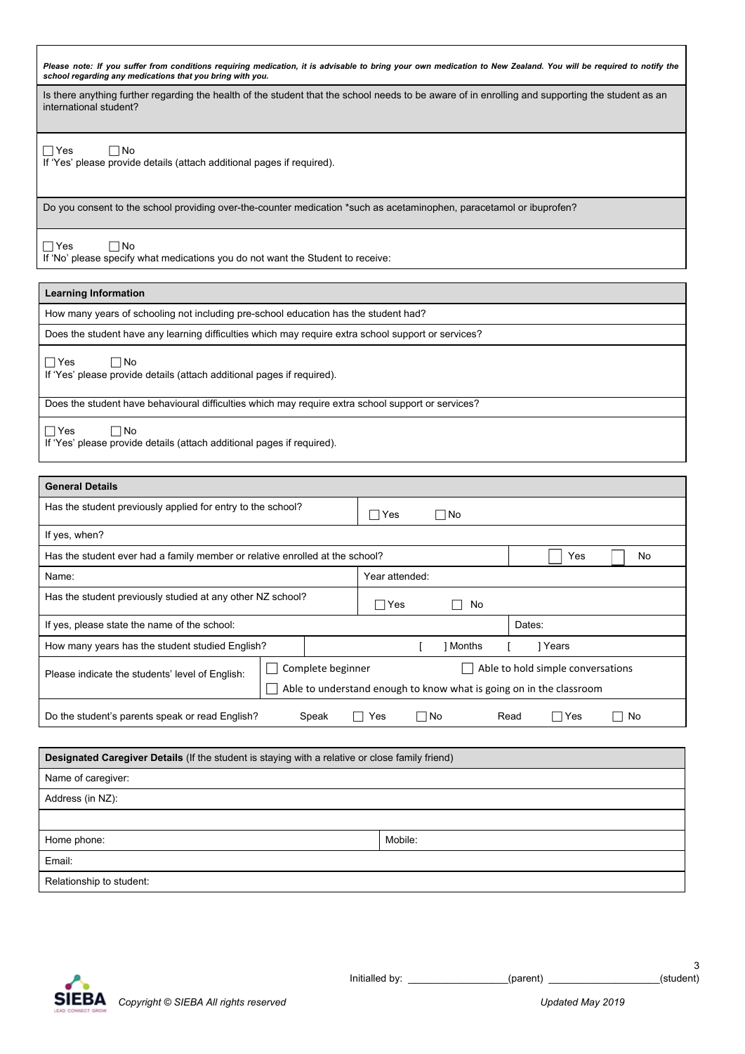Please note: If you suffer from conditions requiring medication, it is advisable to bring your own medication to New Zealand. You will be required to notify the<br>school regarding any medications that you bring with you.

Is there anything further regarding the health of the student that the school needs to be aware of in enrolling and supporting the student as an international student?

 $\Box$  Yes  $\Box$  No

If 'Yes' please provide details (attach additional pages if required).

Do you consent to the school providing over-the-counter medication \*such as acetaminophen, paracetamol or ibuprofen?

 Yes No If 'No' please specify what medications you do not want the Student to receive:

| <b>Learning Information</b>                                                                         |
|-----------------------------------------------------------------------------------------------------|
| How many years of schooling not including pre-school education has the student had?                 |
| Does the student have any learning difficulties which may require extra school support or services? |
| $\Box$ Yes<br>$\Box$ No<br>If 'Yes' please provide details (attach additional pages if required).   |
| Does the student have behavioural difficulties which may require extra school support or services?  |
| $\Box$ No<br>$\Box$ Yes<br>If 'Yes' please provide details (attach additional pages if required)    |

If 'Yes' please provide details (attach additional pages if required).

| <b>General Details</b>                                                                                                                                                           |  |                          |           |  |
|----------------------------------------------------------------------------------------------------------------------------------------------------------------------------------|--|--------------------------|-----------|--|
| Has the student previously applied for entry to the school?                                                                                                                      |  | ∃Yes                     | $\Box$ No |  |
| If yes, when?                                                                                                                                                                    |  |                          |           |  |
| Has the student ever had a family member or relative enrolled at the school?<br>No<br>Yes                                                                                        |  |                          |           |  |
| Name:                                                                                                                                                                            |  | Year attended:           |           |  |
| Has the student previously studied at any other NZ school?                                                                                                                       |  | Yes<br>$\vert \ \ \vert$ | No        |  |
| If yes, please state the name of the school:                                                                                                                                     |  |                          | Dates:    |  |
| How many years has the student studied English?<br>1 Months<br>1 Years                                                                                                           |  |                          |           |  |
| Complete beginner<br>Able to hold simple conversations<br>Please indicate the students' level of English:<br>Able to understand enough to know what is going on in the classroom |  |                          |           |  |
| Do the student's parents speak or read English?<br>□No<br>Read<br>Speak<br>$\sqcap$ Yes<br>No<br>Yes                                                                             |  |                          |           |  |

| <b>Designated Caregiver Details</b> (If the student is staying with a relative or close family friend) |         |  |  |
|--------------------------------------------------------------------------------------------------------|---------|--|--|
| Name of caregiver:                                                                                     |         |  |  |
| Address (in NZ):                                                                                       |         |  |  |
|                                                                                                        |         |  |  |
| Home phone:                                                                                            | Mobile: |  |  |
| Email:                                                                                                 |         |  |  |
| Relationship to student:                                                                               |         |  |  |

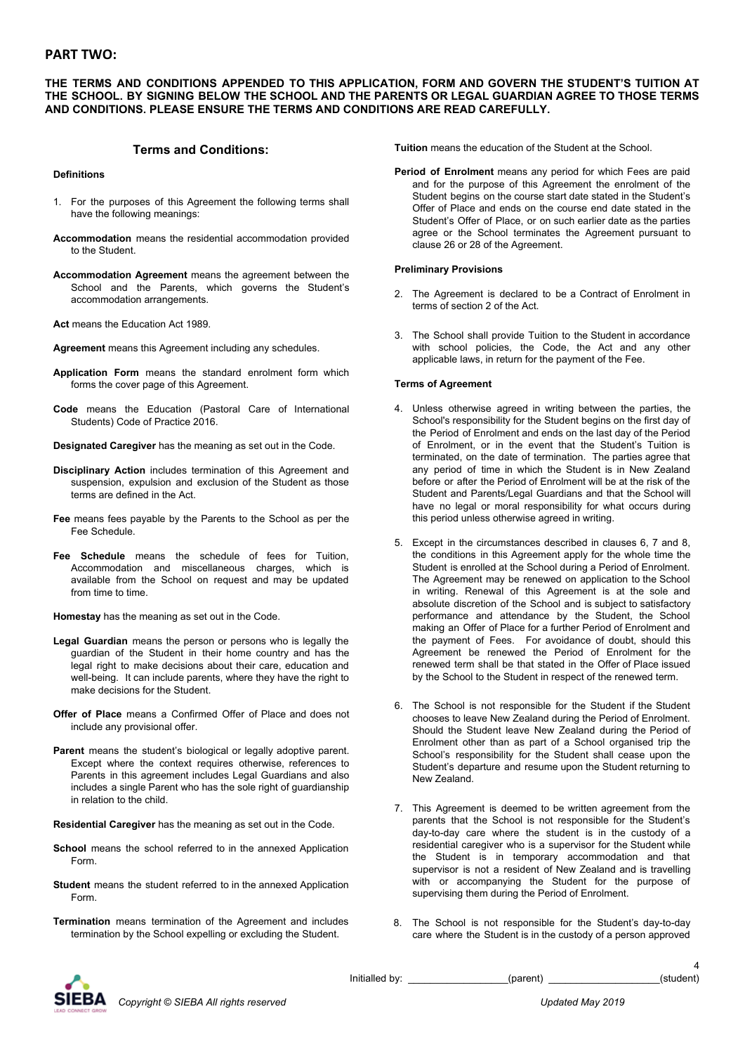## **PART TWO:**

#### **THE TERMS AND CONDITIONS APPENDED TO THIS APPLICATION, FORM AND GOVERN THE STUDENT'S TUITION AT THE SCHOOL. BY SIGNING BELOW THE SCHOOL AND THE PARENTS OR LEGAL GUARDIAN AGREE TO THOSE TERMS AND CONDITIONS. PLEASE ENSURE THE TERMS AND CONDITIONS ARE READ CAREFULLY.**

## **Terms and Conditions:**

#### **Definitions**

- 1. For the purposes of this Agreement the following terms shall have the following meanings:
- **Accommodation** means the residential accommodation provided to the Student.
- **Accommodation Agreement** means the agreement between the School and the Parents, which governs the Student's accommodation arrangements.
- **Act** means the Education Act 1989.
- **Agreement** means this Agreement including any schedules.
- **Application Form** means the standard enrolment form which forms the cover page of this Agreement.
- **Code** means the Education (Pastoral Care of International Students) Code of Practice 2016.
- **Designated Caregiver** has the meaning as set out in the Code.
- **Disciplinary Action** includes termination of this Agreement and suspension, expulsion and exclusion of the Student as those terms are defined in the Act.
- **Fee** means fees payable by the Parents to the School as per the Fee Schedule.
- **Fee Schedule** means the schedule of fees for Tuition, Accommodation and miscellaneous charges, which is available from the School on request and may be updated from time to time.

**Homestay** has the meaning as set out in the Code.

- **Legal Guardian** means the person or persons who is legally the guardian of the Student in their home country and has the legal right to make decisions about their care, education and well-being. It can include parents, where they have the right to make decisions for the Student.
- **Offer of Place** means a Confirmed Offer of Place and does not include any provisional offer.
- **Parent** means the student's biological or legally adoptive parent. Except where the context requires otherwise, references to Parents in this agreement includes Legal Guardians and also includes a single Parent who has the sole right of guardianship in relation to the child.
- **Residential Caregiver** has the meaning as set out in the Code.
- **School** means the school referred to in the annexed Application Form.
- **Student** means the student referred to in the annexed Application Form.
- **Termination** means termination of the Agreement and includes termination by the School expelling or excluding the Student.

**Tuition** means the education of the Student at the School.

**Period of Enrolment** means any period for which Fees are paid and for the purpose of this Agreement the enrolment of the Student begins on the course start date stated in the Student's Offer of Place and ends on the course end date stated in the Student's Offer of Place, or on such earlier date as the parties agree or the School terminates the Agreement pursuant to clause 26 or 28 of the Agreement.

#### **Preliminary Provisions**

- 2. The Agreement is declared to be a Contract of Enrolment in terms of section 2 of the Act.
- 3. The School shall provide Tuition to the Student in accordance with school policies, the Code, the Act and any other applicable laws, in return for the payment of the Fee.

#### **Terms of Agreement**

- 4. Unless otherwise agreed in writing between the parties, the School's responsibility for the Student begins on the first day of the Period of Enrolment and ends on the last day of the Period of Enrolment, or in the event that the Student's Tuition is terminated, on the date of termination. The parties agree that any period of time in which the Student is in New Zealand before or after the Period of Enrolment will be at the risk of the Student and Parents/Legal Guardians and that the School will have no legal or moral responsibility for what occurs during this period unless otherwise agreed in writing.
- 5. Except in the circumstances described in clauses 6, 7 and 8, the conditions in this Agreement apply for the whole time the Student is enrolled at the School during a Period of Enrolment. The Agreement may be renewed on application to the School in writing. Renewal of this Agreement is at the sole and absolute discretion of the School and is subject to satisfactory performance and attendance by the Student, the School making an Offer of Place for a further Period of Enrolment and the payment of Fees. For avoidance of doubt, should this Agreement be renewed the Period of Enrolment for the renewed term shall be that stated in the Offer of Place issued by the School to the Student in respect of the renewed term.
- 6. The School is not responsible for the Student if the Student chooses to leave New Zealand during the Period of Enrolment. Should the Student leave New Zealand during the Period of Enrolment other than as part of a School organised trip the School's responsibility for the Student shall cease upon the Student's departure and resume upon the Student returning to New Zealand.
- 7. This Agreement is deemed to be written agreement from the parents that the School is not responsible for the Student's day-to-day care where the student is in the custody of a residential caregiver who is a supervisor for the Student while the Student is in temporary accommodation and that supervisor is not a resident of New Zealand and is travelling with or accompanying the Student for the purpose of supervising them during the Period of Enrolment.
- 8. The School is not responsible for the Student's day-to-day care where the Student is in the custody of a person approved



Initialled by: \_\_\_\_\_\_\_\_\_\_\_\_\_\_\_\_\_\_(parent) \_\_\_\_\_\_\_\_\_\_\_\_\_\_\_\_\_\_\_\_(student)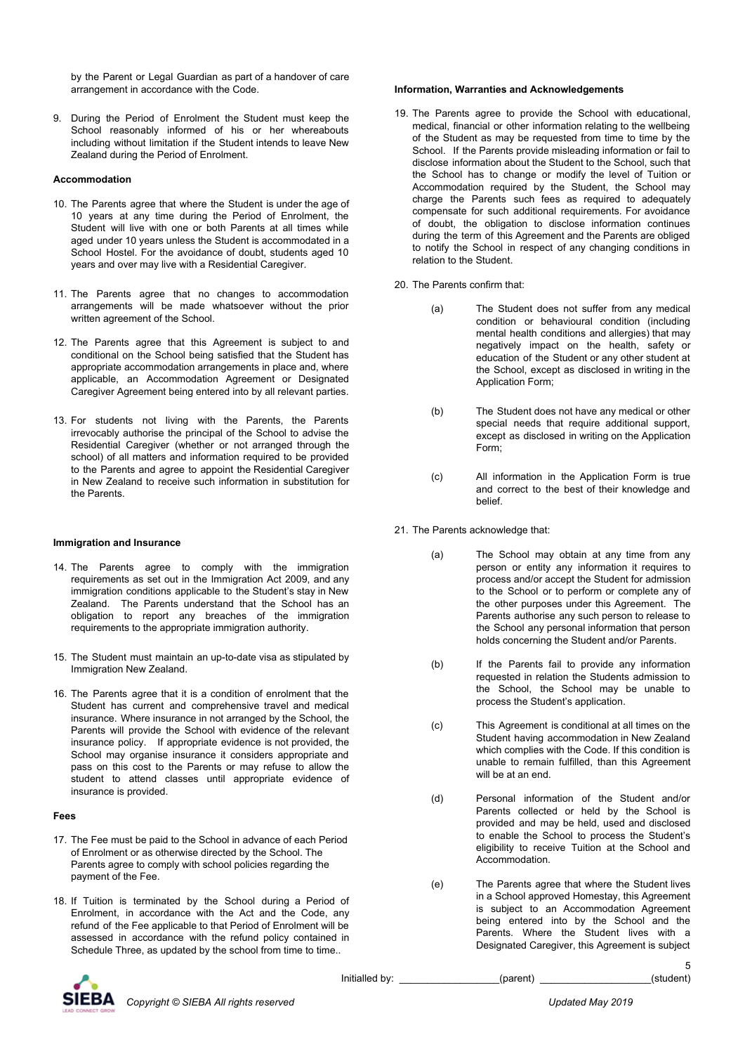by the Parent or Legal Guardian as part of a handover of care arrangement in accordance with the Code.

9. During the Period of Enrolment the Student must keep the School reasonably informed of his or her whereabouts including without limitation if the Student intends to leave New Zealand during the Period of Enrolment.

#### **Accommodation**

- 10. The Parents agree that where the Student is under the age of 10 years at any time during the Period of Enrolment, the Student will live with one or both Parents at all times while aged under 10 years unless the Student is accommodated in a School Hostel. For the avoidance of doubt, students aged 10 years and over may live with a Residential Caregiver.
- 11. The Parents agree that no changes to accommodation arrangements will be made whatsoever without the prior written agreement of the School.
- 12. The Parents agree that this Agreement is subject to and conditional on the School being satisfied that the Student has appropriate accommodation arrangements in place and, where applicable, an Accommodation Agreement or Designated Caregiver Agreement being entered into by all relevant parties.
- 13. For students not living with the Parents, the Parents irrevocably authorise the principal of the School to advise the Residential Caregiver (whether or not arranged through the school) of all matters and information required to be provided to the Parents and agree to appoint the Residential Caregiver in New Zealand to receive such information in substitution for the Parents.

#### **Immigration and Insurance**

- 14. The Parents agree to comply with the immigration requirements as set out in the Immigration Act 2009, and any immigration conditions applicable to the Student's stay in New Zealand. The Parents understand that the School has an obligation to report any breaches of the immigration requirements to the appropriate immigration authority.
- 15. The Student must maintain an up-to-date visa as stipulated by Immigration New Zealand.
- 16. The Parents agree that it is a condition of enrolment that the Student has current and comprehensive travel and medical insurance. Where insurance in not arranged by the School, the Parents will provide the School with evidence of the relevant insurance policy. If appropriate evidence is not provided, the School may organise insurance it considers appropriate and pass on this cost to the Parents or may refuse to allow the student to attend classes until appropriate evidence of insurance is provided.

#### **Fees**

- 17. The Fee must be paid to the School in advance of each Period of Enrolment or as otherwise directed by the School. The Parents agree to comply with school policies regarding the payment of the Fee.
- 18. If Tuition is terminated by the School during a Period of Enrolment, in accordance with the Act and the Code, any refund of the Fee applicable to that Period of Enrolment will be assessed in accordance with the refund policy contained in Schedule Three, as updated by the school from time to time..

#### **Information, Warranties and Acknowledgements**

- 19. The Parents agree to provide the School with educational, medical, financial or other information relating to the wellbeing of the Student as may be requested from time to time by the School. If the Parents provide misleading information or fail to disclose information about the Student to the School, such that the School has to change or modify the level of Tuition or Accommodation required by the Student, the School may charge the Parents such fees as required to adequately compensate for such additional requirements. For avoidance of doubt, the obligation to disclose information continues during the term of this Agreement and the Parents are obliged to notify the School in respect of any changing conditions in relation to the Student.
- 20. The Parents confirm that:
	- (a) The Student does not suffer from any medical condition or behavioural condition (including mental health conditions and allergies) that may negatively impact on the health, safety or education of the Student or any other student at the School, except as disclosed in writing in the Application Form;
	- (b) The Student does not have any medical or other special needs that require additional support, except as disclosed in writing on the Application Form;
	- (c) All information in the Application Form is true and correct to the best of their knowledge and belief.
- 21. The Parents acknowledge that:
	- (a) The School may obtain at any time from any person or entity any information it requires to process and/or accept the Student for admission to the School or to perform or complete any of the other purposes under this Agreement. The Parents authorise any such person to release to the School any personal information that person holds concerning the Student and/or Parents.
	- (b) If the Parents fail to provide any information requested in relation the Students admission to the School, the School may be unable to process the Student's application.
	- (c) This Agreement is conditional at all times on the Student having accommodation in New Zealand which complies with the Code. If this condition is unable to remain fulfilled, than this Agreement will be at an end.
	- (d) Personal information of the Student and/or Parents collected or held by the School is provided and may be held, used and disclosed to enable the School to process the Student's eligibility to receive Tuition at the School and Accommodation.
	- (e) The Parents agree that where the Student lives in a School approved Homestay, this Agreement is subject to an Accommodation Agreement being entered into by the School and the Parents. Where the Student lives with a Designated Caregiver, this Agreement is subject

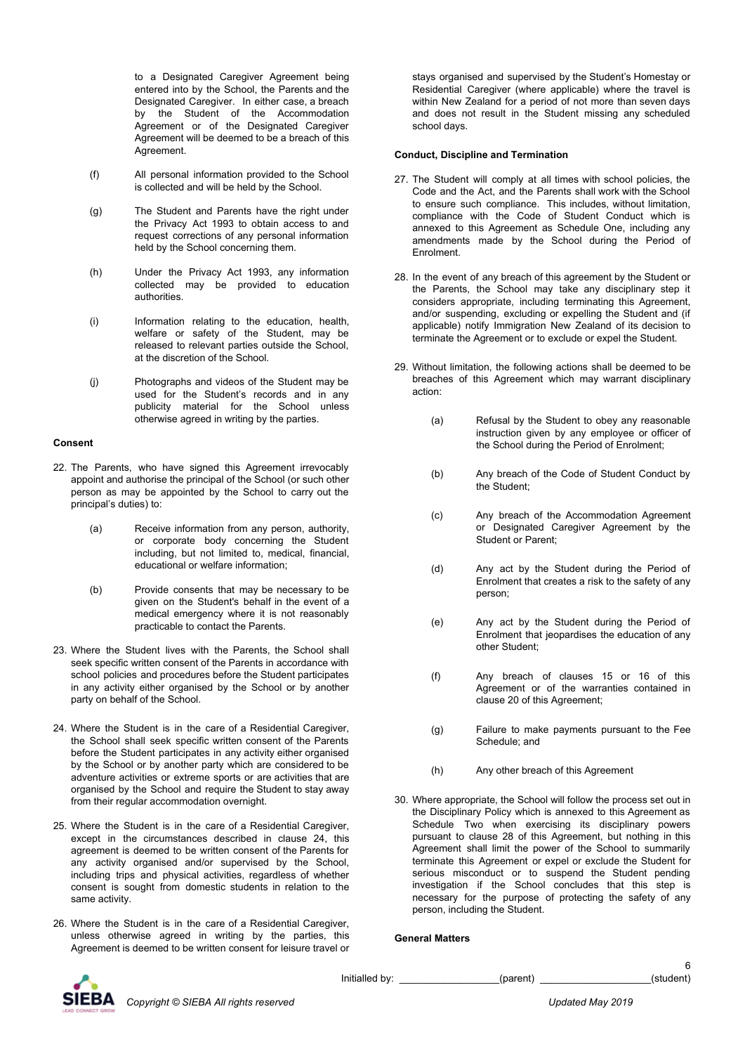to a Designated Caregiver Agreement being entered into by the School, the Parents and the Designated Caregiver. In either case, a breach by the Student of the Accommodation Agreement or of the Designated Caregiver Agreement will be deemed to be a breach of this Agreement.

- (f) All personal information provided to the School is collected and will be held by the School.
- (g) The Student and Parents have the right under the Privacy Act 1993 to obtain access to and request corrections of any personal information held by the School concerning them.
- (h) Under the Privacy Act 1993, any information collected may be provided to education authorities.
- (i) Information relating to the education, health, welfare or safety of the Student, may be released to relevant parties outside the School, at the discretion of the School.
- (j) Photographs and videos of the Student may be used for the Student's records and in any publicity material for the School unless otherwise agreed in writing by the parties.

#### **Consent**

- 22. The Parents, who have signed this Agreement irrevocably appoint and authorise the principal of the School (or such other person as may be appointed by the School to carry out the principal's duties) to:
	- (a) Receive information from any person, authority, or corporate body concerning the Student including, but not limited to, medical, financial, educational or welfare information;
	- (b) Provide consents that may be necessary to be given on the Student's behalf in the event of a medical emergency where it is not reasonably practicable to contact the Parents.
- 23. Where the Student lives with the Parents, the School shall seek specific written consent of the Parents in accordance with school policies and procedures before the Student participates in any activity either organised by the School or by another party on behalf of the School.
- 24. Where the Student is in the care of a Residential Caregiver, the School shall seek specific written consent of the Parents before the Student participates in any activity either organised by the School or by another party which are considered to be adventure activities or extreme sports or are activities that are organised by the School and require the Student to stay away from their regular accommodation overnight.
- 25. Where the Student is in the care of a Residential Caregiver, except in the circumstances described in clause 24, this agreement is deemed to be written consent of the Parents for any activity organised and/or supervised by the School, including trips and physical activities, regardless of whether consent is sought from domestic students in relation to the same activity.
- 26. Where the Student is in the care of a Residential Caregiver, unless otherwise agreed in writing by the parties, this Agreement is deemed to be written consent for leisure travel or

stays organised and supervised by the Student's Homestay or Residential Caregiver (where applicable) where the travel is within New Zealand for a period of not more than seven days and does not result in the Student missing any scheduled school days.

#### **Conduct, Discipline and Termination**

- 27. The Student will comply at all times with school policies, the Code and the Act, and the Parents shall work with the School to ensure such compliance. This includes, without limitation, compliance with the Code of Student Conduct which is annexed to this Agreement as Schedule One, including any amendments made by the School during the Period of Enrolment.
- 28. In the event of any breach of this agreement by the Student or the Parents, the School may take any disciplinary step it considers appropriate, including terminating this Agreement, and/or suspending, excluding or expelling the Student and (if applicable) notify Immigration New Zealand of its decision to terminate the Agreement or to exclude or expel the Student.
- 29. Without limitation, the following actions shall be deemed to be breaches of this Agreement which may warrant disciplinary action:
	- (a) Refusal by the Student to obey any reasonable instruction given by any employee or officer of the School during the Period of Enrolment;
	- (b) Any breach of the Code of Student Conduct by the Student;
	- (c) Any breach of the Accommodation Agreement or Designated Caregiver Agreement by the Student or Parent;
	- (d) Any act by the Student during the Period of Enrolment that creates a risk to the safety of any person;
	- (e) Any act by the Student during the Period of Enrolment that jeopardises the education of any other Student;
	- (f) Any breach of clauses 15 or 16 of this Agreement or of the warranties contained in clause 20 of this Agreement;
	- (g) Failure to make payments pursuant to the Fee Schedule; and
	- (h) Any other breach of this Agreement
- 30. Where appropriate, the School will follow the process set out in the Disciplinary Policy which is annexed to this Agreement as Schedule Two when exercising its disciplinary powers pursuant to clause 28 of this Agreement, but nothing in this Agreement shall limit the power of the School to summarily terminate this Agreement or expel or exclude the Student for serious misconduct or to suspend the Student pending investigation if the School concludes that this step is necessary for the purpose of protecting the safety of any person, including the Student.

#### **General Matters**



Initialled by: \_\_\_\_\_\_\_\_\_\_\_\_\_\_\_\_\_\_(parent) \_\_\_\_\_\_\_\_\_\_\_\_\_\_\_\_\_\_\_\_\_(student)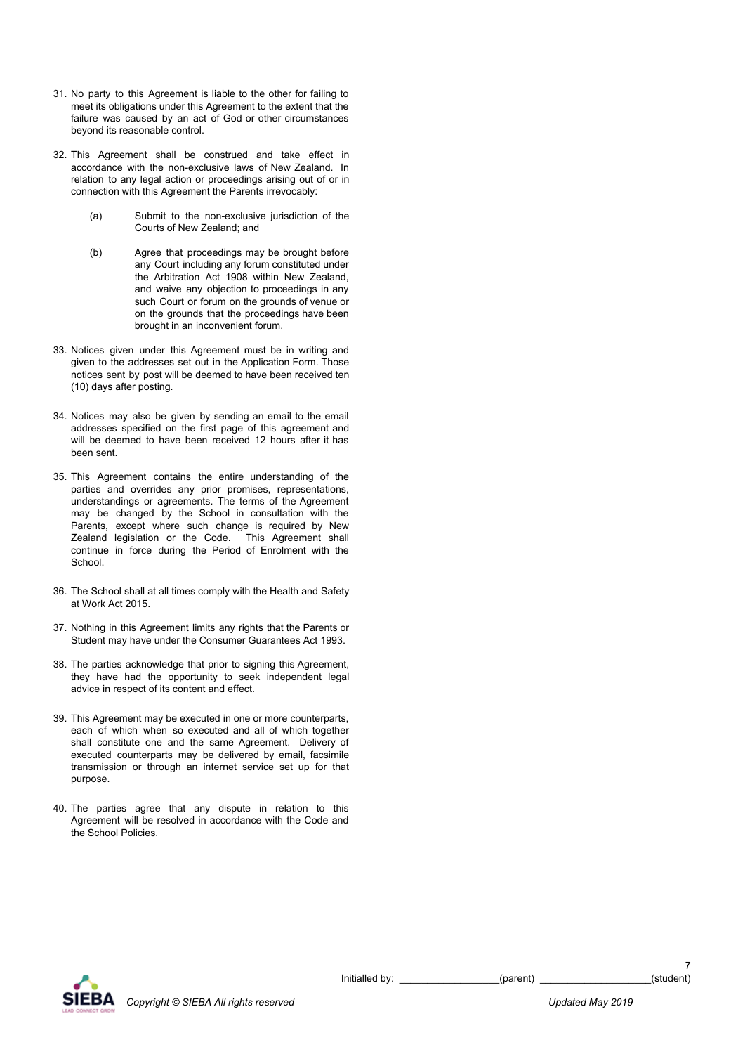- 31. No party to this Agreement is liable to the other for failing to meet its obligations under this Agreement to the extent that the failure was caused by an act of God or other circumstances beyond its reasonable control.
- 32. This Agreement shall be construed and take effect in accordance with the non-exclusive laws of New Zealand. In relation to any legal action or proceedings arising out of or in connection with this Agreement the Parents irrevocably:
	- (a) Submit to the non-exclusive jurisdiction of the Courts of New Zealand; and
	- (b) Agree that proceedings may be brought before any Court including any forum constituted under the Arbitration Act 1908 within New Zealand, and waive any objection to proceedings in any such Court or forum on the grounds of venue or on the grounds that the proceedings have been brought in an inconvenient forum.
- 33. Notices given under this Agreement must be in writing and given to the addresses set out in the Application Form. Those notices sent by post will be deemed to have been received ten (10) days after posting.
- 34. Notices may also be given by sending an email to the email addresses specified on the first page of this agreement and will be deemed to have been received 12 hours after it has been sent.
- 35. This Agreement contains the entire understanding of the parties and overrides any prior promises, representations, understandings or agreements. The terms of the Agreement may be changed by the School in consultation with the Parents, except where such change is required by New Zealand legislation or the Code. This Agreement shall continue in force during the Period of Enrolment with the School.
- 36. The School shall at all times comply with the Health and Safety at Work Act 2015.
- 37. Nothing in this Agreement limits any rights that the Parents or Student may have under the Consumer Guarantees Act 1993.
- 38. The parties acknowledge that prior to signing this Agreement, they have had the opportunity to seek independent legal advice in respect of its content and effect.
- 39. This Agreement may be executed in one or more counterparts, each of which when so executed and all of which together shall constitute one and the same Agreement. Delivery of executed counterparts may be delivered by email, facsimile transmission or through an internet service set up for that purpose.
- 40. The parties agree that any dispute in relation to this Agreement will be resolved in accordance with the Code and the School Policies.

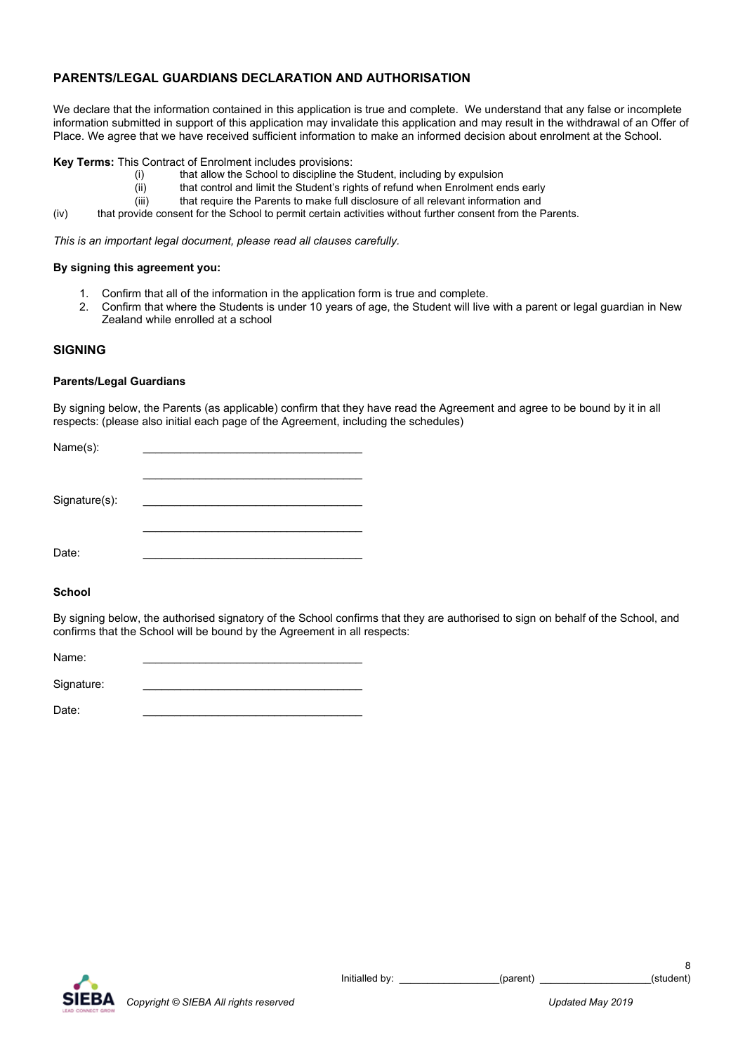## **PARENTS/LEGAL GUARDIANS DECLARATION AND AUTHORISATION**

We declare that the information contained in this application is true and complete. We understand that any false or incomplete information submitted in support of this application may invalidate this application and may result in the withdrawal of an Offer of Place. We agree that we have received sufficient information to make an informed decision about enrolment at the School.

## **Key Terms:** This Contract of Enrolment includes provisions:

- (i) that allow the School to discipline the Student, including by expulsion
- (ii) that control and limit the Student's rights of refund when Enrolment ends early
- (iii) that require the Parents to make full disclosure of all relevant information and
- (iv) that provide consent for the School to permit certain activities without further consent from the Parents.

*This is an important legal document, please read all clauses carefully.*

## **By signing this agreement you:**

- 1. Confirm that all of the information in the application form is true and complete.
- 2. Confirm that where the Students is under 10 years of age, the Student will live with a parent or legal guardian in New Zealand while enrolled at a school

## **SIGNING**

## **Parents/Legal Guardians**

By signing below, the Parents (as applicable) confirm that they have read the Agreement and agree to be bound by it in all respects: (please also initial each page of the Agreement, including the schedules)

| Signature(s): |  |
|---------------|--|
| Date:         |  |

## **School**

By signing below, the authorised signatory of the School confirms that they are authorised to sign on behalf of the School, and confirms that the School will be bound by the Agreement in all respects:

| Name: |  |  |
|-------|--|--|
|       |  |  |

Signature:

Date: \_\_\_\_\_\_\_\_\_\_\_\_\_\_\_\_\_\_\_\_\_\_\_\_\_\_\_\_\_\_\_\_\_\_\_

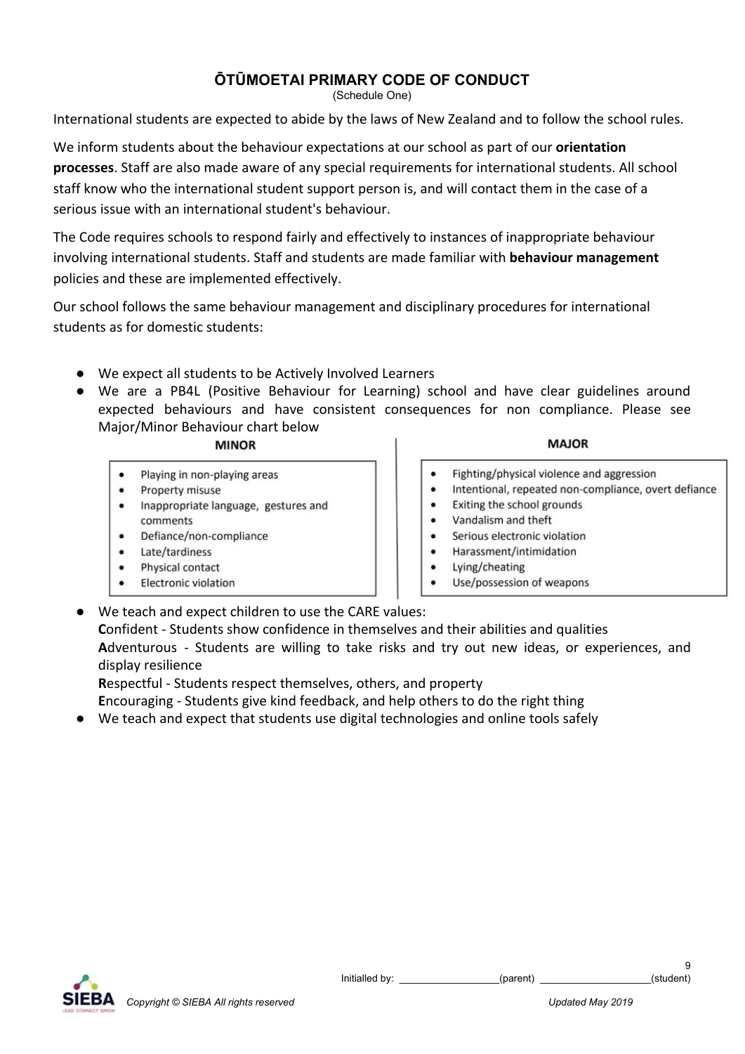# **ŌTŪMOETAI PRIMARY CODE OF CONDUCT**

(Schedule One)

International students are expected to abide by the laws of New Zealand and to follow the school rules.

We inform students about the behaviour expectations at our school as part of our **[orientation](https://ops.schooldocs.co.nz/14836.htm) [processes](https://ops.schooldocs.co.nz/14836.htm)**. Staff are also made aware of any special requirements for international students. All school staff know who the international student support person is, and will contact them in the case of a serious issue with an international student's behaviour.

The Code requires schools to respond fairly and effectively to instances of inappropriate behaviour involving international students. Staff and students are made familiar with **[behaviour management](https://ops.schooldocs.co.nz/14519.htm)** policies and these are implemented effectively.

Our school follows the same behaviour management and disciplinary procedures for international students as for domestic students:

- We expect all students to be Actively Involved Learners
- We are a PB4L (Positive Behaviour for Learning) school and have clear guidelines around expected behaviours and have consistent consequences for non compliance. Please see Major/Minor Behaviour chart below

# **MINOR**

- Playing in non-playing areas
- Property misuse
- Inappropriate language, gestures and comments
- Defiance/non-compliance
- Late/tardiness
- Physical contact
- **Electronic violation**

# **MAJOR**

- Fighting/physical violence and aggression
- Intentional, repeated non-compliance, overt defiance
- Exiting the school grounds
- Vandalism and theft
- Serious electronic violation
- Harassment/intimidation
- Lying/cheating
- Use/possession of weapons
- We teach and expect children to use the CARE values:

**C**onfident - Students show confidence in themselves and their abilities and qualities **A**dventurous - Students are willing to take risks and try out new ideas, or experiences, and display resilience

**R**espectful - Students respect themselves, others, and property

**E**ncouraging - Students give kind feedback, and help others to do the right thing

● We teach and expect that students use digital technologies and online tools safely

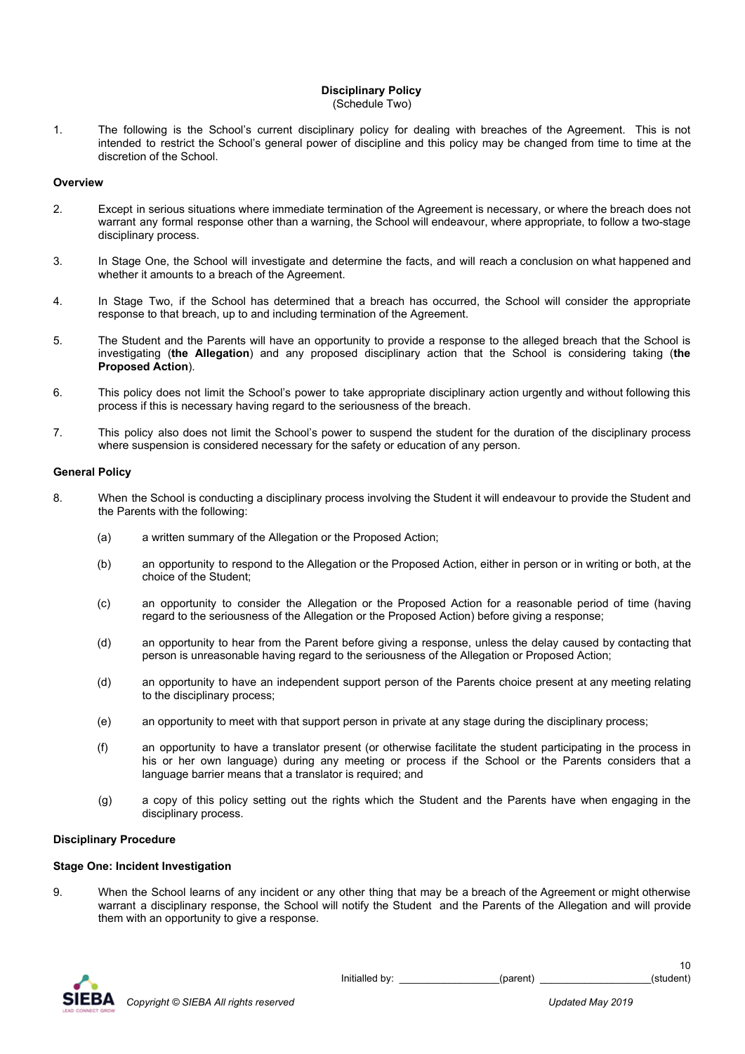#### **Disciplinary Policy** (Schedule Two)

- 
- 1. The following is the School's current disciplinary policy for dealing with breaches of the Agreement. This is not intended to restrict the School's general power of discipline and this policy may be changed from time to time at the discretion of the School.

#### **Overview**

- 2. Except in serious situations where immediate termination of the Agreement is necessary, or where the breach does not warrant any formal response other than a warning, the School will endeavour, where appropriate, to follow a two-stage disciplinary process.
- 3. In Stage One, the School will investigate and determine the facts, and will reach a conclusion on what happened and whether it amounts to a breach of the Agreement.
- 4. In Stage Two, if the School has determined that a breach has occurred, the School will consider the appropriate response to that breach, up to and including termination of the Agreement.
- 5. The Student and the Parents will have an opportunity to provide a response to the alleged breach that the School is investigating (**the Allegation**) and any proposed disciplinary action that the School is considering taking (**the Proposed Action**).
- 6. This policy does not limit the School's power to take appropriate disciplinary action urgently and without following this process if this is necessary having regard to the seriousness of the breach.
- 7. This policy also does not limit the School's power to suspend the student for the duration of the disciplinary process where suspension is considered necessary for the safety or education of any person.

## **General Policy**

- 8. When the School is conducting a disciplinary process involving the Student it will endeavour to provide the Student and the Parents with the following:
	- (a) a written summary of the Allegation or the Proposed Action;
	- (b) an opportunity to respond to the Allegation or the Proposed Action, either in person or in writing or both, at the choice of the Student;
	- (c) an opportunity to consider the Allegation or the Proposed Action for a reasonable period of time (having regard to the seriousness of the Allegation or the Proposed Action) before giving a response;
	- (d) an opportunity to hear from the Parent before giving a response, unless the delay caused by contacting that person is unreasonable having regard to the seriousness of the Allegation or Proposed Action;
	- (d) an opportunity to have an independent support person of the Parents choice present at any meeting relating to the disciplinary process;
	- (e) an opportunity to meet with that support person in private at any stage during the disciplinary process;
	- (f) an opportunity to have a translator present (or otherwise facilitate the student participating in the process in his or her own language) during any meeting or process if the School or the Parents considers that a language barrier means that a translator is required; and
	- (g) a copy of this policy setting out the rights which the Student and the Parents have when engaging in the disciplinary process.

## **Disciplinary Procedure**

## **Stage One: Incident Investigation**

9. When the School learns of any incident or any other thing that may be a breach of the Agreement or might otherwise warrant a disciplinary response, the School will notify the Student and the Parents of the Allegation and will provide them with an opportunity to give a response.



Initialled by: \_\_\_\_\_\_\_\_\_\_\_\_\_\_\_\_\_\_(parent) \_\_\_\_\_\_\_\_\_\_\_\_\_\_\_\_\_\_\_\_\_\_(student)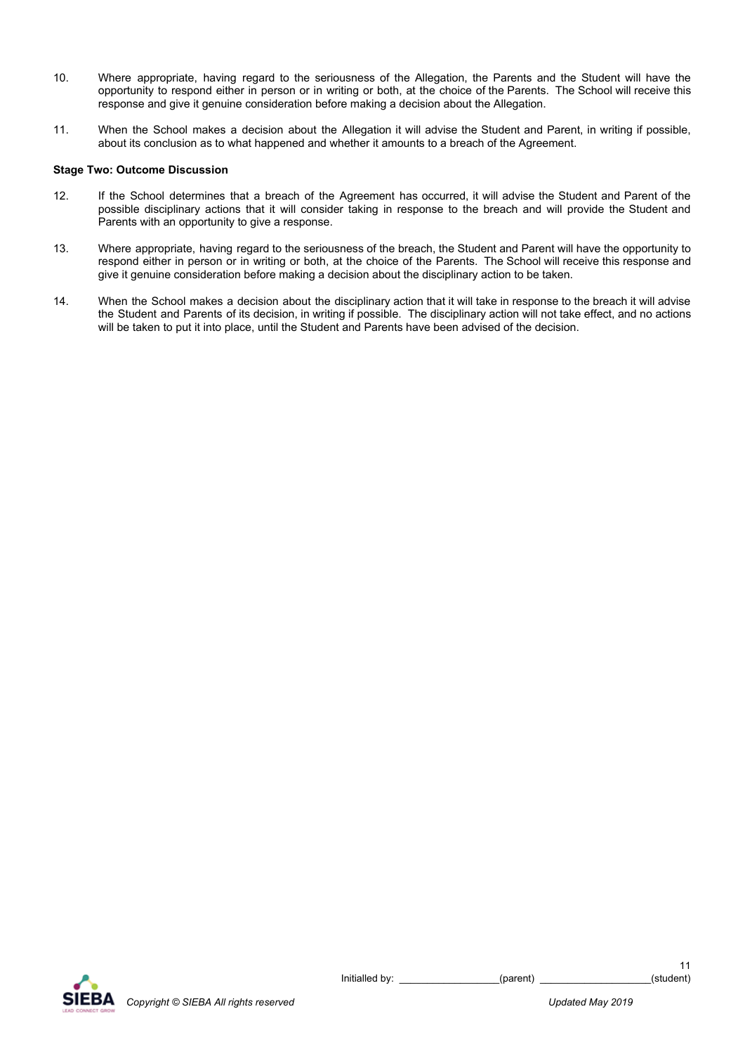- 10. Where appropriate, having regard to the seriousness of the Allegation, the Parents and the Student will have the opportunity to respond either in person or in writing or both, at the choice of the Parents. The School will receive this response and give it genuine consideration before making a decision about the Allegation.
- 11. When the School makes a decision about the Allegation it will advise the Student and Parent, in writing if possible, about its conclusion as to what happened and whether it amounts to a breach of the Agreement.

## **Stage Two: Outcome Discussion**

- 12. If the School determines that a breach of the Agreement has occurred, it will advise the Student and Parent of the possible disciplinary actions that it will consider taking in response to the breach and will provide the Student and Parents with an opportunity to give a response.
- 13. Where appropriate, having regard to the seriousness of the breach, the Student and Parent will have the opportunity to respond either in person or in writing or both, at the choice of the Parents. The School will receive this response and give it genuine consideration before making a decision about the disciplinary action to be taken.
- 14. When the School makes a decision about the disciplinary action that it will take in response to the breach it will advise the Student and Parents of its decision, in writing if possible. The disciplinary action will not take effect, and no actions will be taken to put it into place, until the Student and Parents have been advised of the decision.

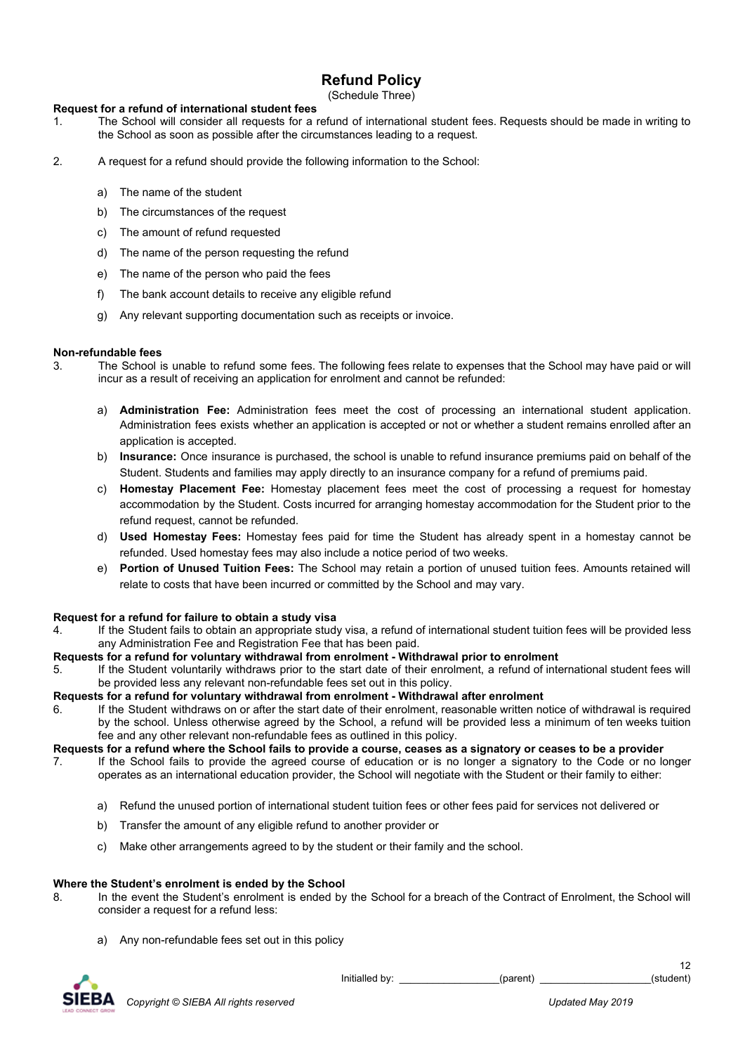# **Refund Policy**

(Schedule Three)

## **Request for a refund of international student fees**

- 1. The School will consider all requests for a refund of international student fees. Requests should be made in writing to the School as soon as possible after the circumstances leading to a request.
- 2. A request for a refund should provide the following information to the School:
	- a) The name of the student
	- b) The circumstances of the request
	- c) The amount of refund requested
	- d) The name of the person requesting the refund
	- e) The name of the person who paid the fees
	- f) The bank account details to receive any eligible refund
	- g) Any relevant supporting documentation such as receipts or invoice.

## **Non-refundable fees**

- 3. The School is unable to refund some fees. The following fees relate to expenses that the School may have paid or will incur as a result of receiving an application for enrolment and cannot be refunded:
	- a) **Administration Fee:** Administration fees meet the cost of processing an international student application. Administration fees exists whether an application is accepted or not or whether a student remains enrolled after an application is accepted.
	- b) **Insurance:** Once insurance is purchased, the school is unable to refund insurance premiums paid on behalf of the Student. Students and families may apply directly to an insurance company for a refund of premiums paid.
	- c) **Homestay Placement Fee:** Homestay placement fees meet the cost of processing a request for homestay accommodation by the Student. Costs incurred for arranging homestay accommodation for the Student prior to the refund request, cannot be refunded.
	- d) **Used Homestay Fees:** Homestay fees paid for time the Student has already spent in a homestay cannot be refunded. Used homestay fees may also include a notice period of two weeks.
	- e) **Portion of Unused Tuition Fees:** The School may retain a portion of unused tuition fees. Amounts retained will relate to costs that have been incurred or committed by the School and may vary.

#### **Request for a refund for failure to obtain a study visa**

4. If the Student fails to obtain an appropriate study visa, a refund of international student tuition fees will be provided less any Administration Fee and Registration Fee that has been paid.

#### **Requests for a refund for voluntary withdrawal from enrolment - Withdrawal prior to enrolment**

5. If the Student voluntarily withdraws prior to the start date of their enrolment, a refund of international student fees will be provided less any relevant non-refundable fees set out in this policy.

#### **Requests for a refund for voluntary withdrawal from enrolment - Withdrawal after enrolment**

6. If the Student withdraws on or after the start date of their enrolment, reasonable written notice of withdrawal is required by the school. Unless otherwise agreed by the School, a refund will be provided less a minimum of ten weeks tuition fee and any other relevant non-refundable fees as outlined in this policy.

**Requests for a refund where the School fails to provide a course, ceases as a signatory or ceases to be a provider**

- 7. If the School fails to provide the agreed course of education or is no longer a signatory to the Code or no longer operates as an international education provider, the School will negotiate with the Student or their family to either:
	- a) Refund the unused portion of international student tuition fees or other fees paid for services not delivered or
	- b) Transfer the amount of any eligible refund to another provider or
	- c) Make other arrangements agreed to by the student or their family and the school.

#### **Where the Student's enrolment is ended by the School**

- 8. In the event the Student's enrolment is ended by the School for a breach of the Contract of Enrolment, the School will consider a request for a refund less:
	- a) Any non-refundable fees set out in this policy



Initialled by: \_\_\_\_\_\_\_\_\_\_\_\_\_\_\_\_\_\_(parent) \_\_\_\_\_\_\_\_\_\_\_\_\_\_\_\_\_\_\_\_\_\_(student)

12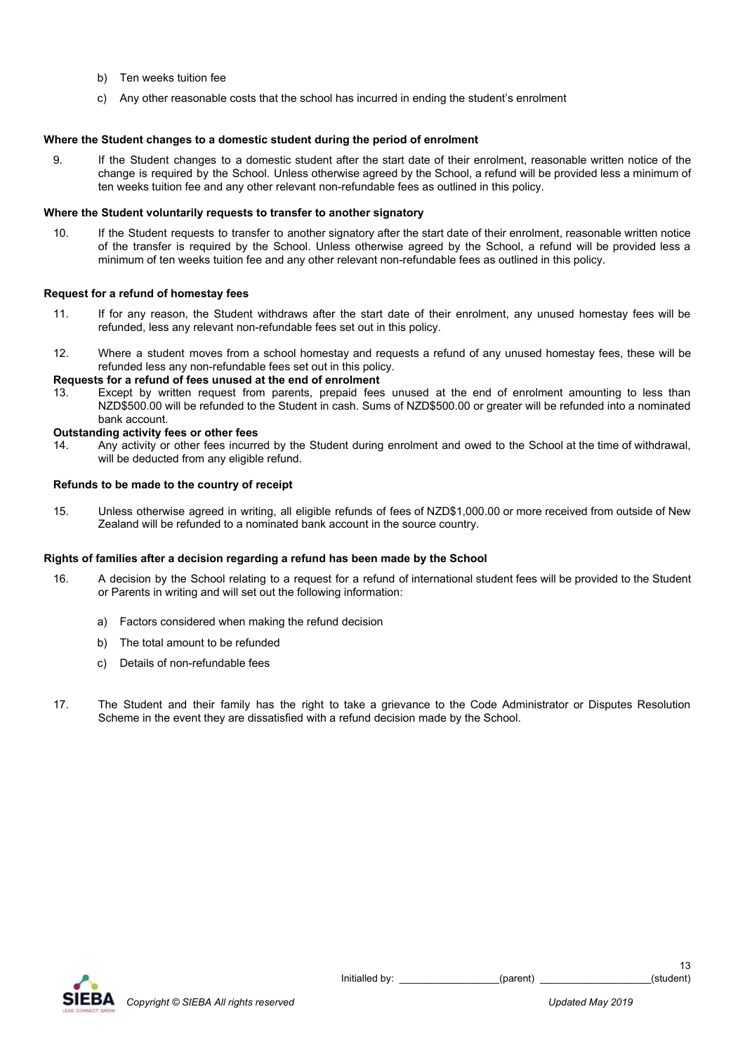- b) Ten weeks tuition fee
- c) Any other reasonable costs that the school has incurred in ending the student's enrolment

## **Where the Student changes to a domestic student during the period of enrolment**

9. If the Student changes to a domestic student after the start date of their enrolment, reasonable written notice of the change is required by the School. Unless otherwise agreed by the School, a refund will be provided less a minimum of ten weeks tuition fee and any other relevant non-refundable fees as outlined in this policy.

## **Where the Student voluntarily requests to transfer to another signatory**

10. If the Student requests to transfer to another signatory after the start date of their enrolment, reasonable written notice of the transfer is required by the School. Unless otherwise agreed by the School, a refund will be provided less a minimum of ten weeks tuition fee and any other relevant non-refundable fees as outlined in this policy.

## **Request for a refund of homestay fees**

- 11. If for any reason, the Student withdraws after the start date of their enrolment, any unused homestay fees will be refunded, less any relevant non-refundable fees set out in this policy.
- 12. Where a student moves from a school homestay and requests a refund of any unused homestay fees, these will be refunded less any non-refundable fees set out in this policy.

## **Requests for a refund of fees unused at the end of enrolment**

13. Except by written request from parents, prepaid fees unused at the end of enrolment amounting to less than NZD\$500.00 will be refunded to the Student in cash. Sums of NZD\$500.00 or greater will be refunded into a nominated bank account.

## **Outstanding activity fees or other fees**

14. Any activity or other fees incurred by the Student during enrolment and owed to the School at the time of withdrawal, will be deducted from any eligible refund.

## **Refunds to be made to the country of receipt**

15. Unless otherwise agreed in writing, all eligible refunds of fees of NZD\$1,000.00 or more received from outside of New Zealand will be refunded to a nominated bank account in the source country.

## **Rights of families after a decision regarding a refund has been made by the School**

- 16. A decision by the School relating to a request for a refund of international student fees will be provided to the Student or Parents in writing and will set out the following information:
	- a) Factors considered when making the refund decision
	- b) The total amount to be refunded
	- c) Details of non-refundable fees
- 17. The Student and their family has the right to take a grievance to the Code Administrator or Disputes Resolution Scheme in the event they are dissatisfied with a refund decision made by the School.

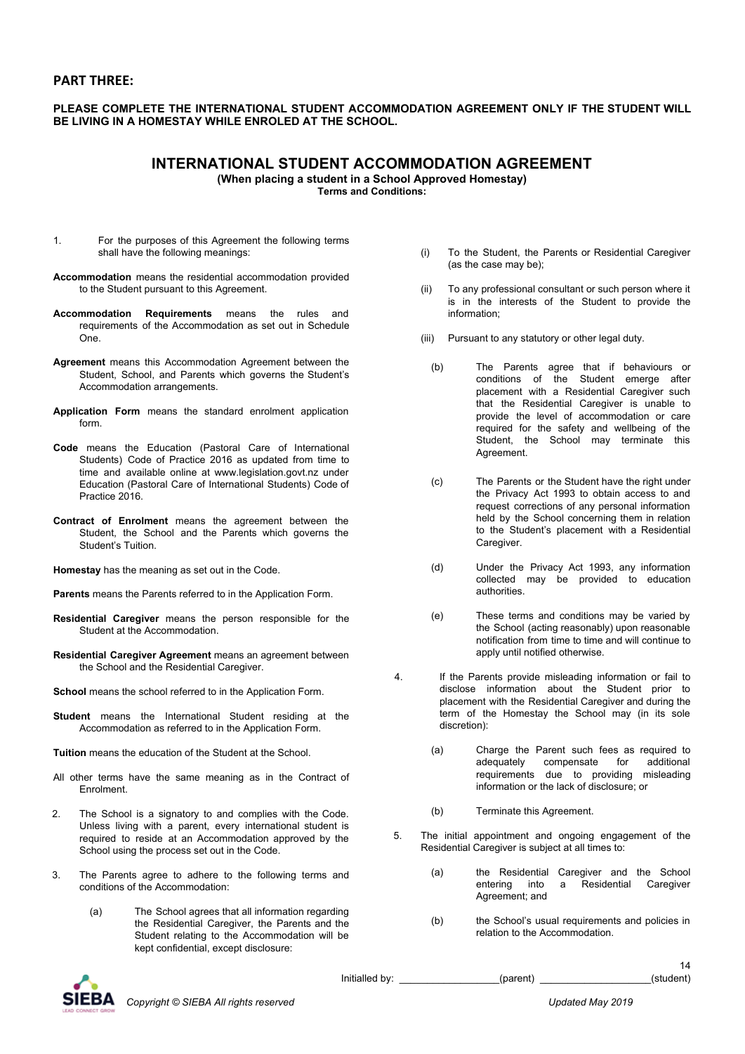## **PART THREE:**

## **PLEASE COMPLETE THE INTERNATIONAL STUDENT ACCOMMODATION AGREEMENT ONLY IF THE STUDENT WILL BE LIVING IN A HOMESTAY WHILE ENROLED AT THE SCHOOL.**

## **INTERNATIONAL STUDENT ACCOMMODATION AGREEMENT**

**(When placing a student in a School Approved Homestay)**

**Terms and Conditions:**

- 1. For the purposes of this Agreement the following terms shall have the following meanings:
- **Accommodation** means the residential accommodation provided to the Student pursuant to this Agreement.
- **Accommodation Requirements** means the rules and requirements of the Accommodation as set out in Schedule One.
- **Agreement** means this Accommodation Agreement between the Student, School, and Parents which governs the Student's Accommodation arrangements.
- **Application Form** means the standard enrolment application form.
- **Code** means the Education (Pastoral Care of International Students) Code of Practice 2016 as updated from time to time and available online at www.legislation.govt.nz under Education (Pastoral Care of International Students) Code of Practice 2016.
- **Contract of Enrolment** means the agreement between the Student, the School and the Parents which governs the Student's Tuition.
- **Homestay** has the meaning as set out in the Code.
- **Parents** means the Parents referred to in the Application Form.
- **Residential Caregiver** means the person responsible for the Student at the Accommodation.
- **Residential Caregiver Agreement** means an agreement between the School and the Residential Caregiver.
- **School** means the school referred to in the Application Form.
- **Student** means the International Student residing at the Accommodation as referred to in the Application Form.
- **Tuition** means the education of the Student at the School.
- All other terms have the same meaning as in the Contract of Enrolment.
- 2. The School is a signatory to and complies with the Code. Unless living with a parent, every international student is required to reside at an Accommodation approved by the School using the process set out in the Code.
- 3. The Parents agree to adhere to the following terms and conditions of the Accommodation:
	- (a) The School agrees that all information regarding the Residential Caregiver, the Parents and the Student relating to the Accommodation will be kept confidential, except disclosure:
- (i) To the Student, the Parents or Residential Caregiver (as the case may be);
- (ii) To any professional consultant or such person where it is in the interests of the Student to provide the information;
- (iii) Pursuant to any statutory or other legal duty.
	- (b) The Parents agree that if behaviours or conditions of the Student emerge after placement with a Residential Caregiver such that the Residential Caregiver is unable to provide the level of accommodation or care required for the safety and wellbeing of the Student, the School may terminate this Agreement.
	- (c) The Parents or the Student have the right under the Privacy Act 1993 to obtain access to and request corrections of any personal information held by the School concerning them in relation to the Student's placement with a Residential Caregiver.
	- (d) Under the Privacy Act 1993, any information collected may be provided to education authorities.
	- (e) These terms and conditions may be varied by the School (acting reasonably) upon reasonable notification from time to time and will continue to apply until notified otherwise.
- 4. If the Parents provide misleading information or fail to disclose information about the Student prior to placement with the Residential Caregiver and during the term of the Homestay the School may (in its sole discretion):
	- (a) Charge the Parent such fees as required to adequately compensate for additional requirements due to providing misleading information or the lack of disclosure; or
	- (b) Terminate this Agreement.
- 5. The initial appointment and ongoing engagement of the Residential Caregiver is subject at all times to:
	- (a) the Residential Caregiver and the School entering into a Residential Caregiver Agreement; and
	- (b) the School's usual requirements and policies in relation to the Accommodation.



 $Initialled by:$  \_\_\_\_\_\_\_\_\_\_\_\_\_\_\_\_\_\_\_\_\_(parent)  $\Box$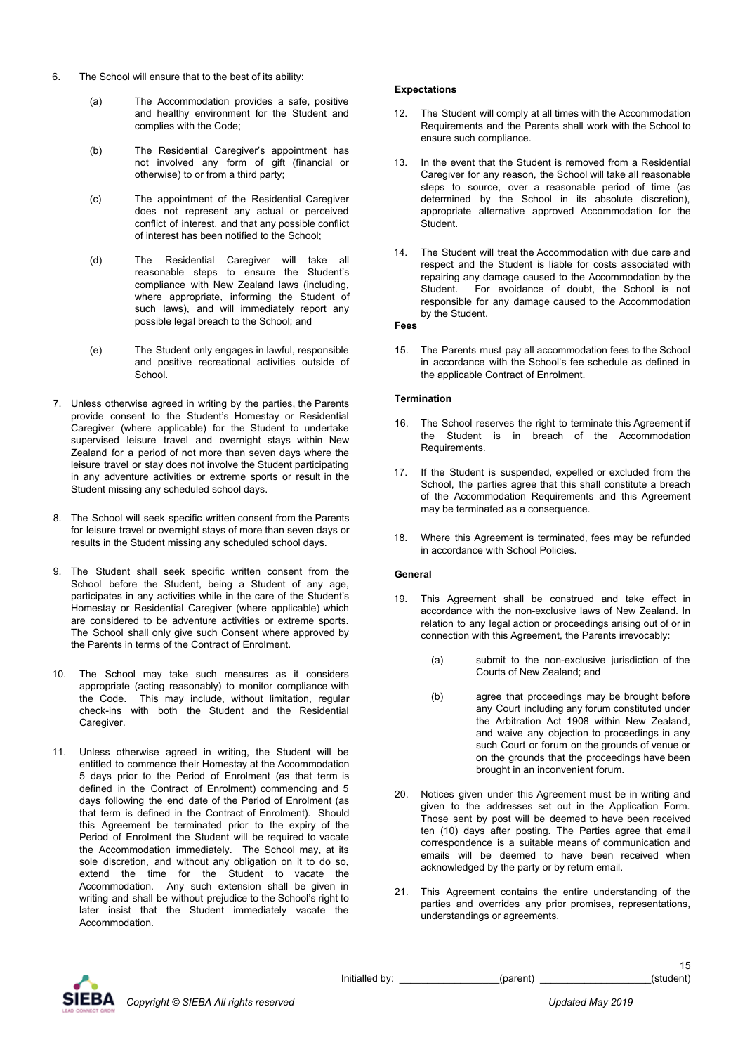- 6. The School will ensure that to the best of its ability:
	- (a) The Accommodation provides a safe, positive and healthy environment for the Student and complies with the Code;
	- (b) The Residential Caregiver's appointment has not involved any form of gift (financial or otherwise) to or from a third party;
	- (c) The appointment of the Residential Caregiver does not represent any actual or perceived conflict of interest, and that any possible conflict of interest has been notified to the School;
	- (d) The Residential Caregiver will take all reasonable steps to ensure the Student's compliance with New Zealand laws (including, where appropriate, informing the Student of such laws), and will immediately report any possible legal breach to the School; and
	- (e) The Student only engages in lawful, responsible and positive recreational activities outside of **School.**
- 7. Unless otherwise agreed in writing by the parties, the Parents provide consent to the Student's Homestay or Residential Caregiver (where applicable) for the Student to undertake supervised leisure travel and overnight stays within New Zealand for a period of not more than seven days where the leisure travel or stay does not involve the Student participating in any adventure activities or extreme sports or result in the Student missing any scheduled school days.
- 8. The School will seek specific written consent from the Parents for leisure travel or overnight stays of more than seven days or results in the Student missing any scheduled school days.
- 9. The Student shall seek specific written consent from the School before the Student, being a Student of any age, participates in any activities while in the care of the Student's Homestay or Residential Caregiver (where applicable) which are considered to be adventure activities or extreme sports. The School shall only give such Consent where approved by the Parents in terms of the Contract of Enrolment.
- 10. The School may take such measures as it considers appropriate (acting reasonably) to monitor compliance with the Code. This may include, without limitation, regular check-ins with both the Student and the Residential Caregiver.
- 11. Unless otherwise agreed in writing, the Student will be entitled to commence their Homestay at the Accommodation 5 days prior to the Period of Enrolment (as that term is defined in the Contract of Enrolment) commencing and 5 days following the end date of the Period of Enrolment (as that term is defined in the Contract of Enrolment). Should this Agreement be terminated prior to the expiry of the Period of Enrolment the Student will be required to vacate the Accommodation immediately. The School may, at its sole discretion, and without any obligation on it to do so, extend the time for the Student to vacate the Accommodation. Any such extension shall be given in writing and shall be without prejudice to the School's right to later insist that the Student immediately vacate the Accommodation.

#### **Expectations**

- 12. The Student will comply at all times with the Accommodation Requirements and the Parents shall work with the School to ensure such compliance.
- 13. In the event that the Student is removed from a Residential Caregiver for any reason, the School will take all reasonable steps to source, over a reasonable period of time (as determined by the School in its absolute discretion), appropriate alternative approved Accommodation for the **Student**
- 14. The Student will treat the Accommodation with due care and respect and the Student is liable for costs associated with repairing any damage caused to the Accommodation by the Student. For avoidance of doubt, the School is not For avoidance of doubt, the School is not responsible for any damage caused to the Accommodation by the Student.

#### **Fees**

15. The Parents must pay all accommodation fees to the School in accordance with the School's fee schedule as defined in the applicable Contract of Enrolment.

#### **Termination**

- 16. The School reserves the right to terminate this Agreement if the Student is in breach of the Accommodation Requirements.
- 17. If the Student is suspended, expelled or excluded from the School, the parties agree that this shall constitute a breach of the Accommodation Requirements and this Agreement may be terminated as a consequence.
- 18. Where this Agreement is terminated, fees may be refunded in accordance with School Policies.

## **General**

- 19. This Agreement shall be construed and take effect in accordance with the non-exclusive laws of New Zealand. In relation to any legal action or proceedings arising out of or in connection with this Agreement, the Parents irrevocably:
	- (a) submit to the non-exclusive jurisdiction of the Courts of New Zealand; and
	- (b) agree that proceedings may be brought before any Court including any forum constituted under the Arbitration Act 1908 within New Zealand, and waive any objection to proceedings in any such Court or forum on the grounds of venue or on the grounds that the proceedings have been brought in an inconvenient forum.
- 20. Notices given under this Agreement must be in writing and given to the addresses set out in the Application Form. Those sent by post will be deemed to have been received ten (10) days after posting. The Parties agree that email correspondence is a suitable means of communication and emails will be deemed to have been received when acknowledged by the party or by return email.
- 21. This Agreement contains the entire understanding of the parties and overrides any prior promises, representations, understandings or agreements.



Initialled by: \_\_\_\_\_\_\_\_\_\_\_\_\_\_\_\_\_\_(parent) \_\_\_\_\_\_\_\_\_\_\_\_\_\_\_\_\_\_\_\_(student)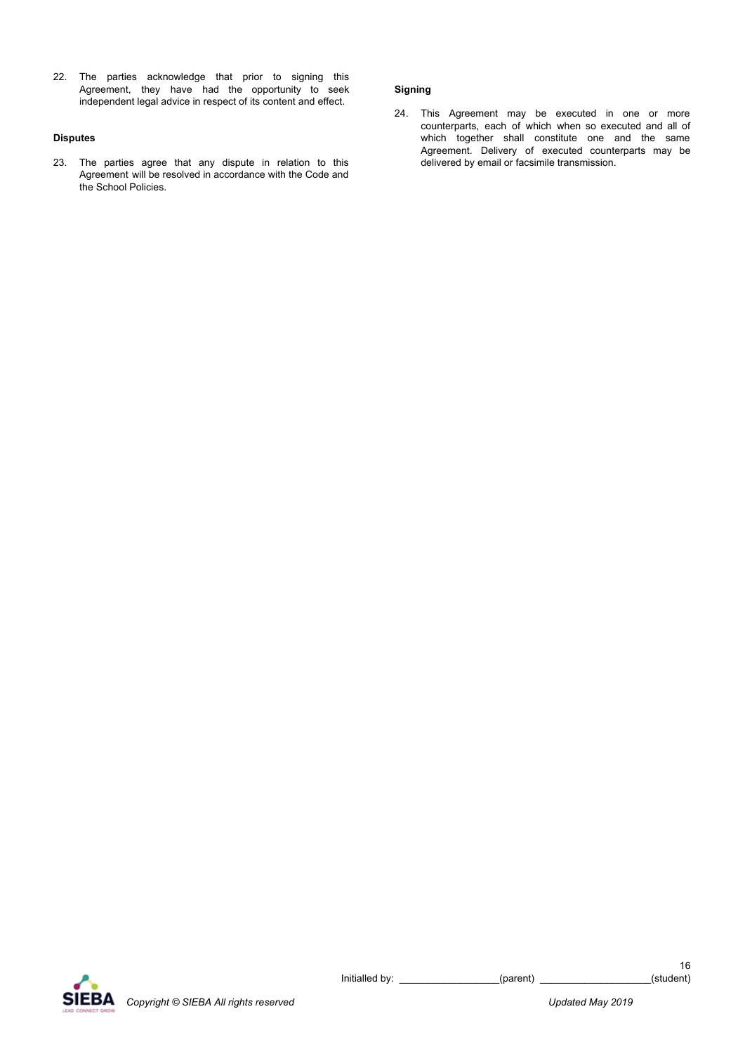22. The parties acknowledge that prior to signing this Agreement, they have had the opportunity to seek independent legal advice in respect of its content and effect.

#### **Disputes**

23. The parties agree that any dispute in relation to this Agreement will be resolved in accordance with the Code and the School Policies.

## **Signing**

24. This Agreement may be executed in one or more counterparts, each of which when so executed and all of which together shall constitute one and the same Agreement. Delivery of executed counterparts may be delivered by email or facsimile transmission.

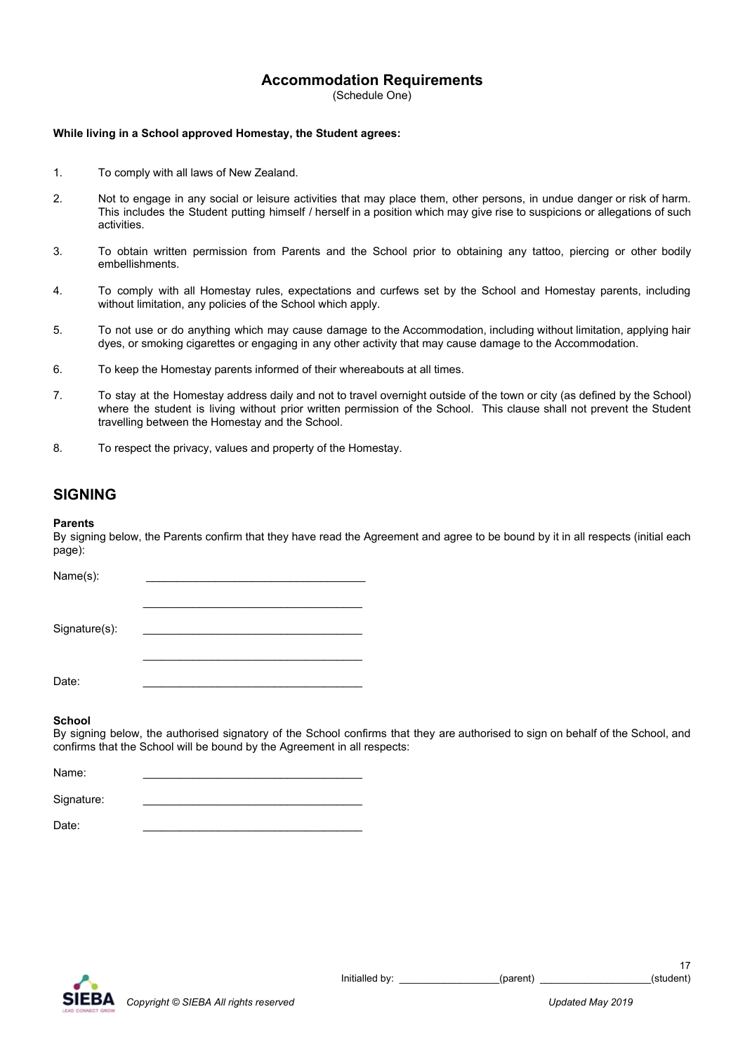# **Accommodation Requirements**

(Schedule One)

#### **While living in a School approved Homestay, the Student agrees:**

- 1. To comply with all laws of New Zealand.
- 2. Not to engage in any social or leisure activities that may place them, other persons, in undue danger or risk of harm. This includes the Student putting himself / herself in a position which may give rise to suspicions or allegations of such activities.
- 3. To obtain written permission from Parents and the School prior to obtaining any tattoo, piercing or other bodily embellishments.
- 4. To comply with all Homestay rules, expectations and curfews set by the School and Homestay parents, including without limitation, any policies of the School which apply.
- 5. To not use or do anything which may cause damage to the Accommodation, including without limitation, applying hair dyes, or smoking cigarettes or engaging in any other activity that may cause damage to the Accommodation.
- 6. To keep the Homestay parents informed of their whereabouts at all times.
- 7. To stay at the Homestay address daily and not to travel overnight outside of the town or city (as defined by the School) where the student is living without prior written permission of the School. This clause shall not prevent the Student travelling between the Homestay and the School.
- 8. To respect the privacy, values and property of the Homestay.

# **SIGNING**

#### **Parents**

By signing below, the Parents confirm that they have read the Agreement and agree to be bound by it in all respects (initial each page):

| Name(s):      |  |
|---------------|--|
|               |  |
|               |  |
| Signature(s): |  |
|               |  |
|               |  |
| Date:         |  |

#### **School**

By signing below, the authorised signatory of the School confirms that they are authorised to sign on behalf of the School, and confirms that the School will be bound by the Agreement in all respects:

Name: \_\_\_\_\_\_\_\_\_\_\_\_\_\_\_\_\_\_\_\_\_\_\_\_\_\_\_\_\_\_\_\_\_\_\_ Signature:

Date: \_\_\_\_\_\_\_\_\_\_\_\_\_\_\_\_\_\_\_\_\_\_\_\_\_\_\_\_\_\_\_\_\_\_\_

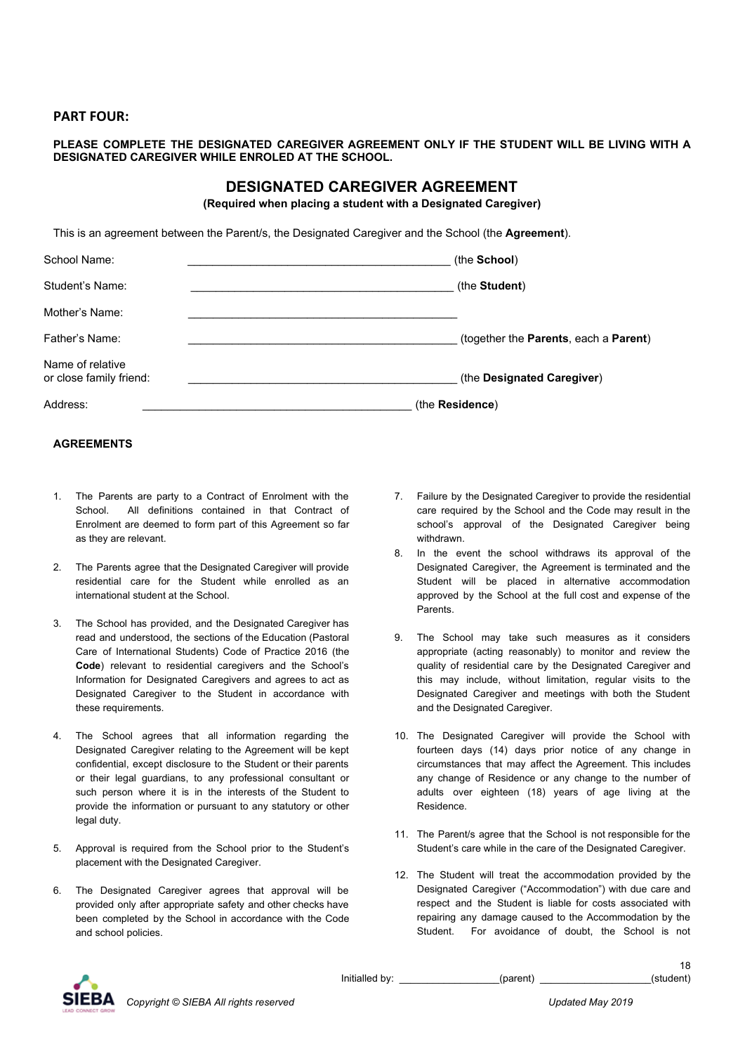## **PART FOUR:**

## **PLEASE COMPLETE THE DESIGNATED CAREGIVER AGREEMENT ONLY IF THE STUDENT WILL BE LIVING WITH A DESIGNATED CAREGIVER WHILE ENROLED AT THE SCHOOL.**

# **DESIGNATED CAREGIVER AGREEMENT**

**(Required when placing a student with a Designated Caregiver)**

This is an agreement between the Parent/s, the Designated Caregiver and the School (the **Agreement**).

| School Name:                                | (the School)                          |
|---------------------------------------------|---------------------------------------|
| Student's Name:                             | (the Student)                         |
| Mother's Name:                              |                                       |
| Father's Name:                              | (together the Parents, each a Parent) |
| Name of relative<br>or close family friend: | (the Designated Caregiver)            |
| Address:                                    | (the Residence)                       |

## **AGREEMENTS**

- 1. The Parents are party to a Contract of Enrolment with the School. All definitions contained in that Contract of Enrolment are deemed to form part of this Agreement so far as they are relevant.
- 2. The Parents agree that the Designated Caregiver will provide residential care for the Student while enrolled as an international student at the School.
- 3. The School has provided, and the Designated Caregiver has read and understood, the sections of the Education (Pastoral Care of International Students) Code of Practice 2016 (the **Code**) relevant to residential caregivers and the School's Information for Designated Caregivers and agrees to act as Designated Caregiver to the Student in accordance with these requirements.
- 4. The School agrees that all information regarding the Designated Caregiver relating to the Agreement will be kept confidential, except disclosure to the Student or their parents or their legal guardians, to any professional consultant or such person where it is in the interests of the Student to provide the information or pursuant to any statutory or other legal duty.
- 5. Approval is required from the School prior to the Student's placement with the Designated Caregiver.
- 6. The Designated Caregiver agrees that approval will be provided only after appropriate safety and other checks have been completed by the School in accordance with the Code and school policies.
- 7. Failure by the Designated Caregiver to provide the residential care required by the School and the Code may result in the school's approval of the Designated Caregiver being withdrawn.
- 8. In the event the school withdraws its approval of the Designated Caregiver, the Agreement is terminated and the Student will be placed in alternative accommodation approved by the School at the full cost and expense of the Parents.
- 9. The School may take such measures as it considers appropriate (acting reasonably) to monitor and review the quality of residential care by the Designated Caregiver and this may include, without limitation, regular visits to the Designated Caregiver and meetings with both the Student and the Designated Caregiver.
- 10. The Designated Caregiver will provide the School with fourteen days (14) days prior notice of any change in circumstances that may affect the Agreement. This includes any change of Residence or any change to the number of adults over eighteen (18) years of age living at the Residence.
- 11. The Parent/s agree that the School is not responsible for the Student's care while in the care of the Designated Caregiver.
- 12. The Student will treat the accommodation provided by the Designated Caregiver ("Accommodation") with due care and respect and the Student is liable for costs associated with repairing any damage caused to the Accommodation by the Student. For avoidance of doubt, the School is not